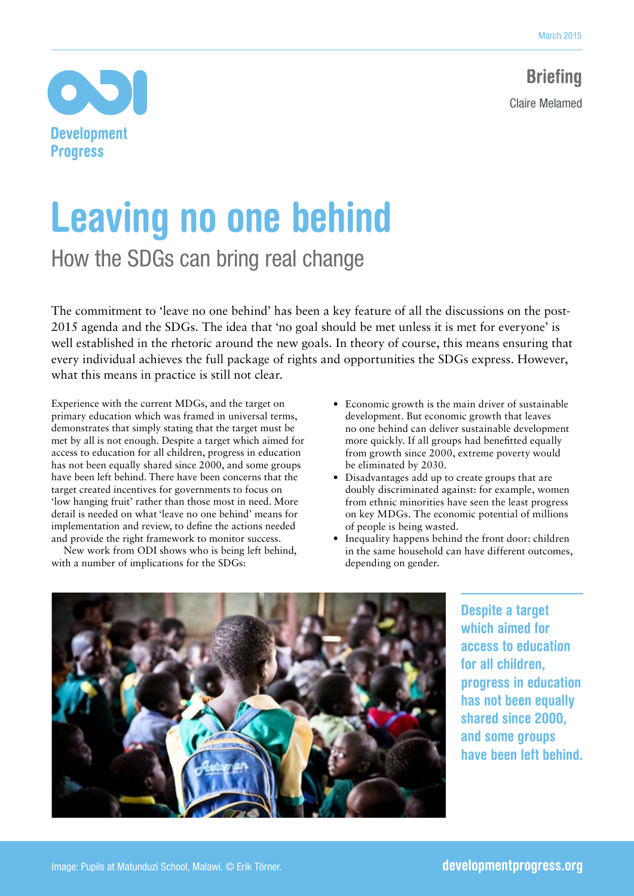

# **Leaving no one behind**

How the SDGs can bring real change

The commitment to 'leave no one behind' has been a key feature of all the discussions on the post-2015 agenda and the SDGs. The idea that 'no goal should be met unless it is met for everyone' is well established in the rhetoric around the new goals. In theory of course, this means ensuring that every individual achieves the full package of rights and opportunities the SDGs express. However, what this means in practice is still not clear.

Experience with the current MDGs, and the target on primary education which was framed in universal terms, demonstrates that simply stating that the target must be met by all is not enough. Despite a target which aimed for access to education for all children, progress in education has not been equally shared since 2000, and some groups have been left behind. There have been concerns that the target created incentives for governments to focus on 'low hanging fruit' rather than those most in need. More detail is needed on what 'leave no one behind' means for implementation and review, to define the actions needed and provide the right framework to monitor success.

New work from ODI shows who is being left behind, with a number of implications for the SDGs:

- Economic growth is the main driver of sustainable development. But economic growth that leaves no one behind can deliver sustainable development more quickly. If all groups had benefitted equally from growth since 2000, extreme poverty would be eliminated by 2030.
- Disadvantages add up to create groups that are doubly discriminated against: for example, women from ethnic minorities have seen the least progress on key MDGs. The economic potential of millions of people is being wasted.
- Inequality happens behind the front door: children in the same household can have different outcomes, depending on gender.



Despite a target which aimed for access to education for all children, progress in education has not been equally shared since 2000, and some groups have been left behind.